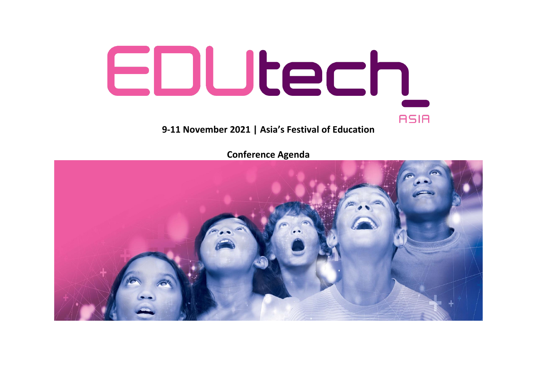

**Conference Agenda**

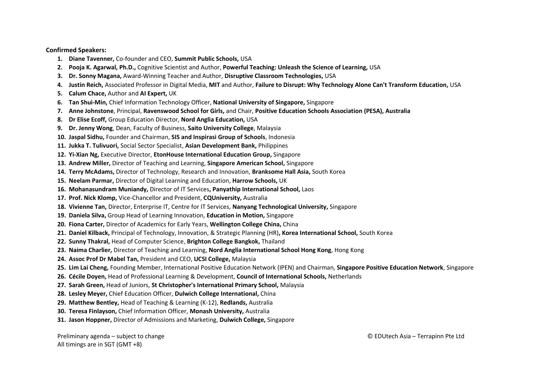## **Confirmed Speakers:**

- **1. Diane Tavenner,** Co-founder and CEO, **Summit Public Schools,** USA
- **2. Pooja K. Agarwal, Ph.D.,** Cognitive Scientist and Author, **Powerful Teaching: Unleash the Science of Learning,** USA
- **3. Dr. Sonny Magana,** Award-Winning Teacher and Author, **Disruptive Classroom Technologies,** USA
- **4. Justin Reich,** Associated Professor in Digital Media, **MIT** and Author, **Failure to Disrupt: Why Technology Alone Can't Transform Education,** USA
- **5. Calum Chace,** Author and **AI Expert,** UK
- **6. Tan Shui-Min,** Chief Information Technology Officer, **National University of Singapore,** Singapore
- **7. Anne Johnstone**, Principal, **Ravenswood School for Girls,** and Chair, **Positive Education Schools Association (PESA), Australia**
- **8. Dr Elise Ecoff,** Group Education Director, **Nord Anglia Education,** USA
- **9. Dr. Jenny Wong**, Dean, Faculty of Business, **Saito University College**, Malaysia
- **10. Jaspal Sidhu,** Founder and Chairman, **SIS and Inspirasi Group of Schools**, Indonesia
- **11. Jukka T. Tulivuori,** Social Sector Specialist, **Asian Development Bank,** Philippines
- **12. Yi-Xian Ng,** Executive Director, **EtonHouse International Education Group,** Singapore
- **13. Andrew Miller,** Director of Teaching and Learning, **Singapore American School,** Singapore
- **14. Terry McAdams,** Director of Technology, Research and Innovation, **Branksome Hall Asia,** South Korea
- **15. Neelam Parmar,** Director of Digital Learning and Education, **Harrow Schools,** UK
- **16. Mohanasundram Muniandy,** Director of IT Services**, Panyathip International School,** Laos
- **17. Prof. Nick Klomp,** Vice-Chancellor and President, **CQUniversity,** Australia
- **18. Vivienne Tan,** Director, Enterprise IT, Centre for IT Services, **Nanyang Technological University,** Singapore
- **19. Daniela Silva,** Group Head of Learning Innovation, **Education in Motion,** Singapore
- **20. Fiona Carter,** Director of Academics for Early Years, **Wellington College China,** China
- **21. Daniel Kilback,** Principal of Technology, Innovation, & Strategic Planning (HR)**, Korea International School,** South Korea
- **22. Sunny Thakral,** Head of Computer Science, **Brighton College Bangkok,** Thailand
- **23. Naima Charlier,** Director of Teaching and Learning, **Nord Anglia International School Hong Kong**, Hong Kong
- **24. Assoc Prof Dr Mabel Tan,** President and CEO, **UCSI College,** Malaysia
- **25. Lim Lai Cheng,** Founding Member, International Positive Education Network (IPEN) and Chairman, **Singapore Positive Education Network**, Singapore
- **26. Cécile Doyen,** Head of Professional Learning & Development, **Council of International Schools,** Netherlands
- **27. Sarah Green,** Head of Juniors, **St Christopher's International Primary School,** Malaysia
- **28. Lesley Meyer,** Chief Education Officer, **Dulwich College International,** China
- **29. Matthew Bentley,** Head of Teaching & Learning (K-12), **Redlands,** Australia
- **30. Teresa Finlayson,** Chief Information Officer, **Monash University,** Australia
- **31. Jason Hoppner,** Director of Admissions and Marketing, **Dulwich College,** Singapore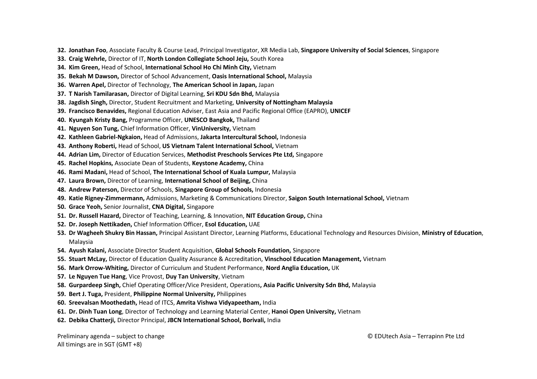- **32. Jonathan Foo**, Associate Faculty & Course Lead, Principal Investigator, XR Media Lab, **Singapore University of Social Sciences**, Singapore
- **33. Craig Wehrle,** Director of IT, **North London Collegiate School Jeju,** South Korea
- **34. Kim Green,** Head of School, **International School Ho Chi Minh City,** Vietnam
- **35. Bekah M Dawson,** Director of School Advancement, **Oasis International School,** Malaysia
- **36. Warren Apel,** Director of Technology, **The American School in Japan,** Japan
- **37. T Narish Tamilarasan,** Director of Digital Learning, **Sri KDU Sdn Bhd,** Malaysia
- **38. Jagdish Singh,** Director, Student Recruitment and Marketing, **University of Nottingham Malaysia**
- **39. Francisco Benavides,** Regional Education Adviser, East Asia and Pacific Regional Office (EAPRO), **UNICEF**
- **40. Kyungah Kristy Bang,** Programme Officer, **UNESCO Bangkok,** Thailand
- **41. Nguyen Son Tung,** Chief Information Officer, **VinUniversity,** Vietnam
- **42. Kathleen Gabriel-Ngkaion,** Head of Admissions, **Jakarta Intercultural School,** Indonesia
- **43. Anthony Roberti,** Head of School, **US Vietnam Talent International School,** Vietnam
- **44. Adrian Lim,** Director of Education Services, **Methodist Preschools Services Pte Ltd,** Singapore
- **45. Rachel Hopkins,** Associate Dean of Students, **Keystone Academy,** China
- **46. Rami Madani,** Head of School, **The International School of Kuala Lumpur,** Malaysia
- **47. Laura Brown,** Director of Learning, **International School of Beijing,** China
- **48. Andrew Paterson,** Director of Schools, **Singapore Group of Schools,** Indonesia
- **49. Katie Rigney-Zimmermann,** Admissions, Marketing & Communications Director, **Saigon South International School,** Vietnam
- **50. Grace Yeoh,** Senior Journalist, **CNA Digital,** Singapore
- **51. Dr. Russell Hazard,** Director of Teaching, Learning, & Innovation, **NIT Education Group,** China
- **52. Dr. Joseph Nettikaden,** Chief Information Officer, **Esol Education,** UAE
- **53. Dr Wagheeh Shukry Bin Hassan,** Principal Assistant Director, Learning Platforms, Educational Technology and Resources Division, **Ministry of Education**, Malaysia
- **54. Ayush Kalani,** Associate Director Student Acquisition, **Global Schools Foundation,** Singapore
- **55. Stuart McLay,** Director of Education Quality Assurance & Accreditation, **Vinschool Education Management,** Vietnam
- **56. Mark Orrow-Whiting,** Director of Curriculum and Student Performance, **Nord Anglia Education,** UK
- **57. Le Nguyen Tue Hang**, Vice Provost, **Duy Tan University**, Vietnam
- **58. Gurpardeep Singh,** Chief Operating Officer/Vice President, Operations**, Asia Pacific University Sdn Bhd,** Malaysia
- **59. Bert J. Tuga,** President, **Philippine Normal University,** Philippines
- **60. Sreevalsan Moothedath,** Head of ITCS, **Amrita Vishwa Vidyapeetham,** India
- **61. Dr. Dinh Tuan Long**, Director of Technology and Learning Material Center, **Hanoi Open University,** Vietnam
- **62. Debika Chatterji,** Director Principal, **JBCN International School, Borivali,** India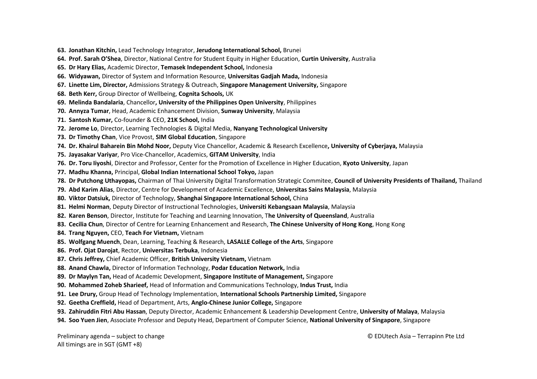- **63. Jonathan Kitchin,** Lead Technology Integrator, **Jerudong International School,** Brunei
- **64. Prof. Sarah O'Shea**, Director, National Centre for Student Equity in Higher Education, **Curtin University**, Australia
- **65. Dr Hary Elias,** Academic Director, **Temasek Independent School,** Indonesia
- **66. Widyawan,** Director of System and Information Resource, **Universitas Gadjah Mada,** Indonesia
- **67. Linette Lim, Director,** Admissions Strategy & Outreach, **Singapore Management University,** Singapore
- **68. Beth Kerr,** Group Director of Wellbeing, **Cognita Schools,** UK
- **69. Melinda Bandalaria**, Chancellor**, University of the Philippines Open University**, Philippines
- **70. Annyza Tumar**, Head, Academic Enhancement Division, **Sunway University**, Malaysia
- **71. Santosh Kumar,** Co-founder & CEO, **21K School,** India
- **72. Jerome Lo**, Director, Learning Technologies & Digital Media, **Nanyang Technological University**
- **73. Dr Timothy Chan**, Vice Provost, **SIM Global Education**, Singapore
- **74. Dr. Khairul Baharein Bin Mohd Noor,** Deputy Vice Chancellor, Academic & Research Excellence**, University of Cyberjaya,** Malaysia
- **75. Jayasakar Variyar**, Pro Vice-Chancellor, Academics, **GITAM University**, India
- **76. Dr. Toru Iiyoshi**, Director and Professor, Center for the Promotion of Excellence in Higher Education, **Kyoto University**, Japan
- **77. Madhu Khanna,** Principal, **Global Indian International School Tokyo,** Japan
- **78. Dr Putchong Uthayopas,** Chairman of Thai University Digital Transformation Strategic Commitee, **Council of University Presidents of Thailand,** Thailand
- **79. Abd Karim Alias**, Director, Centre for Development of Academic Excellence, **Universitas Sains Malaysia**, Malaysia
- **80. Viktor Datsiuk,** Director of Technology, **Shanghai Singapore International School,** China
- **81. Helmi Norman**, Deputy Director of Instructional Technologies, **Universiti Kebangsaan Malaysia**, Malaysia
- **82. Karen Benson**, Director, Institute for Teaching and Learning Innovation, T**he University of Queensland**, Australia
- **83. Cecilia Chun**, Director of Centre for Learning Enhancement and Research, **The Chinese University of Hong Kong**, Hong Kong
- **84. Trang Nguyen,** CEO, **Teach For Vietnam,** Vietnam
- **85. Wolfgang Muench**, Dean, Learning, Teaching & Research, **LASALLE College of the Arts**, Singapore
- **86. Prof. Ojat Darojat**, Rector, **Universitas Terbuka**, Indonesia
- **87. Chris Jeffrey,** Chief Academic Officer, **British University Vietnam,** Vietnam
- **88. Anand Chawla,** Director of Information Technology, **Podar Education Network,** India
- **89. Dr Maylyn Tan,** Head of Academic Development, **Singapore Institute of Management,** Singapore
- **90. Mohammed Zoheb Sharieef,** Head of Information and Communications Technology, **Indus Trust,** India
- **91. Lee Drury,** Group Head of Technology Implementation, **International Schools Partnership Limited,** Singapore
- **92. Geetha Creffield,** Head of Department, Arts, **Anglo-Chinese Junior College,** Singapore
- **93. Zahiruddin Fitri Abu Hassan**, Deputy Director, Academic Enhancement & Leadership Development Centre, **University of Malaya**, Malaysia
- **94. Soo Yuen Jien**, Associate Professor and Deputy Head, Department of Computer Science, **National University of Singapore**, Singapore

Preliminary agenda – subject to change **EXEC ENGLLES** CHANGE CONTROLLER CHANGE CONTROLLER CHANGE CONTROLLER CHANGE All timings are in SGT (GMT +8)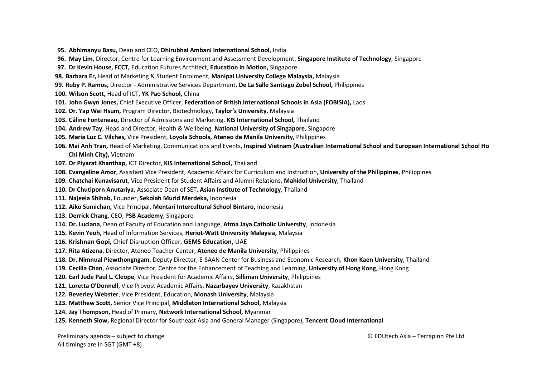- **95. Abhimanyu Basu,** Dean and CEO, **Dhirubhai Ambani International School,** India
- **96. May Lim**, Director, Centre for Learning Environment and Assessment Development, **Singapore Institute of Technology**, Singapore
- **97. Dr Kevin House, FCCT,** Education Futures Architect, **Education in Motion,** Singapore
- **98. Barbara Er,** Head of Marketing & Student Enrolment, **Manipal University College Malaysia,** Malaysia
- **99. Ruby P. Ramos,** Director Administrative Services Department, **De La Salle Santiago Zobel School,** Philippines
- **100. Wilson Scott,** Head of ICT, **YK Pao School,** China
- **101. John Gwyn Jones,** Chief Executive Officer, **Federation of British International Schools in Asia (FOBISIA),** Laos
- **102. Dr. Yap Wei Hsum,** Program Director, Biotechnology, **Taylor's University**, Malaysia
- **103. Câline Fonteneau,** Director of Admissions and Marketing, **KIS International School,** Thailand
- **104. Andrew Tay**, Head and Director, Health & Wellbeing, **National University of Singapore**, Singapore
- **105. Maria Luz C. Vilches,** Vice President, **Loyola Schools, Ateneo de Manila University,** Philippines
- **106. Mai Anh Tran,** Head of Marketing, Communications and Events, **Inspired Vietnam (Australian International School and European International School Ho Chi Minh City),** Vietnam
- **107. Dr Piyarat Khanthap,** ICT Director, **KIS International School,** Thailand
- **108. Evangeline Amor**, Assistant Vice President, Academic Affairs for Curriculum and Instruction, **University of the Philippines**, Philippines
- **109. Chatchai Kunavisarut**, Vice President for Student Affairs and Alumni Relations, **Mahidol University**, Thailand
- **110. Dr Chutiporn Anutariya**, Associate Dean of SET, **Asian Institute of Technology**, Thailand
- **111. Najeela Shihab,** Founder, **Sekolah Murid Merdeka,** Indonesia
- **112. Aiko Sumichan,** Vice Principal, **Mentari Intercultural School Bintaro,** Indonesia
- **113. Derrick Chang**, CEO, **PSB Academy**, Singapore
- **114. Dr. Luciana**, Dean of Faculty of Education and Language, **Atma Jaya Catholic University**, Indonesia
- **115. Kevin Yeoh,** Head of Information Services, **Heriot-Watt University Malaysia,** Malaysia
- **116. Krishnan Gopi,** Chief Disruption Officer, **GEMS Education,** UAE
- **117. Rita Atizena**, Director, Ateneo Teacher Center, **Ateneo de Manila University**, Philippines
- **118. Dr. Nimnual Piewthongngam**, Deputy Director, E-SAAN Center for Business and Economic Research, **Khon Kaen University**, Thailand
- **119. Cecilia Chan**, Associate Director, Centre for the Enhancement of Teaching and Learning, **University of Hong Kong**, Hong Kong
- **120. Earl Jude Paul L. Cleope**, Vice President for Academic Affairs, **Silliman University**, Philippines
- **121. Loretta O'Donnell**, Vice Provost Academic Affairs, **Nazarbayev University**, Kazakhstan
- **122. Beverley Webster**, Vice President, Education, **Monash University**, Malaysia
- **123. Matthew Scott,** Senior Vice Principal, **Middleton International School,** Malaysia
- **124. Jay Thompson,** Head of Primary, **Network International School,** Myanmar
- **125. Kenneth Siow,** Regional Director for Southeast Asia and General Manager (Singapore), **Tencent Cloud International**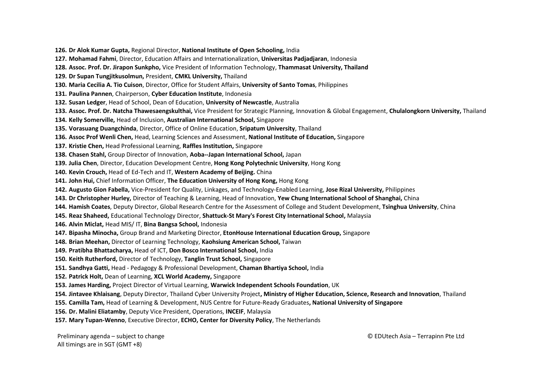**126. Dr Alok Kumar Gupta,** Regional Director, **National Institute of Open Schooling,** India

- **127. Mohamad Fahmi**, Director, Education Affairs and Internationalization, **Universitas Padjadjaran**, Indonesia
- **128. Assoc. Prof. Dr. Jirapon Sunkpho,** Vice President of Information Technology, **Thammasat University, Thailand**
- **129. Dr Supan Tungjitkusolmun,** President, **CMKL University,** Thailand
- **130. Maria Cecilia A. Tio Cuison**, Director, Office for Student Affairs, **University of Santo Tomas**, Philippines
- **131. Paulina Pannen**, Chairperson, **Cyber Education Institute**, Indonesia
- **132. Susan Ledger**, Head of School, Dean of Education, **University of Newcastle**, Australia
- **133. Assoc. Prof. Dr. Natcha Thawesaengskulthai,** Vice President for Strategic Planning, Innovation & Global Engagement, **Chulalongkorn University,** Thailand
- **134. Kelly Somerville,** Head of Inclusion, **Australian International School,** Singapore
- **135. Vorasuang Duangchinda**, Director, Office of Online Education, **Sripatum University**, Thailand
- **136. Assoc Prof Wenli Chen,** Head, Learning Sciences and Assessment, **National Institute of Education,** Singapore
- **137. Kristie Chen,** Head Professional Learning, **Raffles Institution,** Singapore
- **138. Chasen Stahl,** Group Director of Innovation, **Aoba--Japan International School,** Japan
- **139. Julia Chen**, Director, Education Development Centre, **Hong Kong Polytechnic University**, Hong Kong
- **140. Kevin Crouch,** Head of Ed-Tech and IT, **Western Academy of Beijing.** China
- **141. John Hui,** Chief Information Officer, **The Education University of Hong Kong,** Hong Kong
- **142. Augusto Gion Fabella,** Vice-President for Quality, Linkages, and Technology-Enabled Learning, **Jose Rizal University,** Philippines
- **143. Dr Christopher Hurley,** Director of Teaching & Learning, Head of Innovation, **Yew Chung International School of Shanghai,** China
- **144. Hamish Coates**, Deputy Director, Global Research Centre for the Assessment of College and Student Development, **Tsinghua University**, China
- **145. Reaz Shaheed,** Educational Technology Director, **Shattuck-St Mary's Forest City International School,** Malaysia
- **146. Alvin Miclat,** Head MIS/ IT, **Bina Bangsa School,** Indonesia
- **147. Bipasha Minocha,** Group Brand and Marketing Director, **EtonHouse International Education Group,** Singapore
- **148. Brian Meehan,** Director of Learning Technology, **Kaohsiung American School,** Taiwan
- **149. Pratibha Bhattacharya,** Head of ICT, **Don Bosco International School,** India
- **150. Keith Rutherford,** Director of Technology, **Tanglin Trust School,** Singapore
- **151. Sandhya Gatti,** Head Pedagogy & Professional Development, **Chaman Bhartiya School,** India
- **152. Patrick Holt,** Dean of Learning, **XCL World Academy,** Singapore
- **153. James Harding,** Project Director of Virtual Learning, **Warwick Independent Schools Foundation**, UK
- **154. Jintavee Khlaisang**, Deputy Director, Thailand Cyber University Project**, Ministry of Higher Education, Science, Research and Innovation**, Thailand
- **155. Camilla Tam,** Head of Learning & Development, NUS Centre for Future-Ready Graduates**, National University of Singapore**
- **156. Dr. Malini Eliatamby**, Deputy Vice President, Operations, **INCEIF**, Malaysia
- **157. Mary Tupan-Wenno**, Executive Director, **ECHO, Center for Diversity Policy**, The Netherlands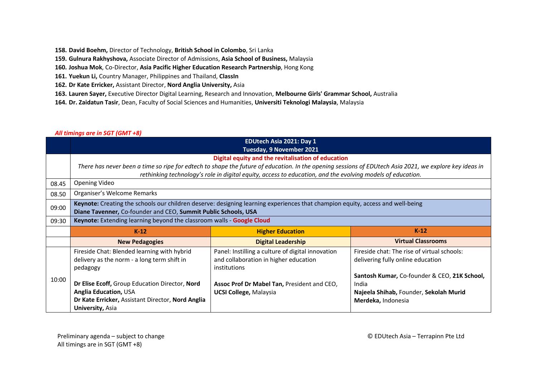- **158. David Boehm,** Director of Technology, **British School in Colombo**, Sri Lanka
- **159. Gulnura Rakhyshova,** Associate Director of Admissions, **Asia School of Business,** Malaysia
- **160. Joshua Mok**, Co-Director, **Asia Pacific Higher Education Research Partnership**, Hong Kong
- **161. Yuekun Li,** Country Manager, Philippines and Thailand, **ClassIn**
- **162. Dr Kate Erricker,** Assistant Director, **Nord Anglia University,** Asia
- **163. Lauren Sayer,** Executive Director Digital Learning, Research and Innovation, **Melbourne Girls' Grammar School,** Australia
- **164. Dr. Zaidatun Tasir**, Dean, Faculty of Social Sciences and Humanities, **Universiti Teknologi Malaysia**, Malaysia

## *All timings are in SGT (GMT +8)*

|       | <b>EDUtech Asia 2021: Day 1</b>                                                                                                                                                                  |                                                                                                                                                        |                                              |  |
|-------|--------------------------------------------------------------------------------------------------------------------------------------------------------------------------------------------------|--------------------------------------------------------------------------------------------------------------------------------------------------------|----------------------------------------------|--|
|       | Tuesday, 9 November 2021                                                                                                                                                                         |                                                                                                                                                        |                                              |  |
|       |                                                                                                                                                                                                  | Digital equity and the revitalisation of education                                                                                                     |                                              |  |
|       |                                                                                                                                                                                                  | There has never been a time so ripe for edtech to shape the future of education. In the opening sessions of EDUtech Asia 2021, we explore key ideas in |                                              |  |
|       |                                                                                                                                                                                                  | rethinking technology's role in digital equity, access to education, and the evolving models of education.                                             |                                              |  |
| 08.45 | <b>Opening Video</b>                                                                                                                                                                             |                                                                                                                                                        |                                              |  |
| 08.50 | Organiser's Welcome Remarks                                                                                                                                                                      |                                                                                                                                                        |                                              |  |
| 09:00 | Keynote: Creating the schools our children deserve: designing learning experiences that champion equity, access and well-being<br>Diane Tavenner, Co-founder and CEO, Summit Public Schools, USA |                                                                                                                                                        |                                              |  |
| 09:30 | Keynote: Extending learning beyond the classroom walls - Google Cloud                                                                                                                            |                                                                                                                                                        |                                              |  |
|       | $K-12$                                                                                                                                                                                           | <b>Higher Education</b>                                                                                                                                | $K-12$                                       |  |
|       | <b>New Pedagogies</b>                                                                                                                                                                            | <b>Digital Leadership</b>                                                                                                                              | <b>Virtual Classrooms</b>                    |  |
|       | Fireside Chat: Blended learning with hybrid                                                                                                                                                      | Panel: Instilling a culture of digital innovation                                                                                                      | Fireside chat: The rise of virtual schools:  |  |
|       | delivery as the norm - a long term shift in                                                                                                                                                      | and collaboration in higher education                                                                                                                  | delivering fully online education            |  |
|       | pedagogy                                                                                                                                                                                         | institutions                                                                                                                                           |                                              |  |
| 10:00 |                                                                                                                                                                                                  |                                                                                                                                                        | Santosh Kumar, Co-founder & CEO, 21K School, |  |
|       | Dr Elise Ecoff, Group Education Director, Nord                                                                                                                                                   | Assoc Prof Dr Mabel Tan, President and CEO,                                                                                                            | India                                        |  |
|       | Anglia Education, USA                                                                                                                                                                            | <b>UCSI College, Malaysia</b>                                                                                                                          | Najeela Shihab, Founder, Sekolah Murid       |  |
|       | Dr Kate Erricker, Assistant Director, Nord Anglia                                                                                                                                                |                                                                                                                                                        | Merdeka, Indonesia                           |  |
|       | <b>University, Asia</b>                                                                                                                                                                          |                                                                                                                                                        |                                              |  |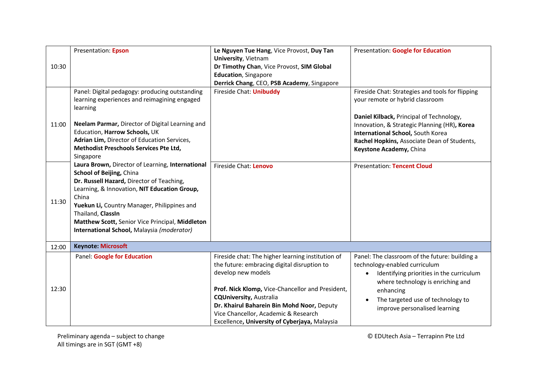| 10:30 | Presentation: Epson                                                                                                                                                                                                                                                                                                                                     | Le Nguyen Tue Hang, Vice Provost, Duy Tan<br>University, Vietnam<br>Dr Timothy Chan, Vice Provost, SIM Global<br><b>Education</b> , Singapore<br>Derrick Chang, CEO, PSB Academy, Singapore                                                                                                                                                         | Presentation: Google for Education                                                                                                                                                                                                                                                             |
|-------|---------------------------------------------------------------------------------------------------------------------------------------------------------------------------------------------------------------------------------------------------------------------------------------------------------------------------------------------------------|-----------------------------------------------------------------------------------------------------------------------------------------------------------------------------------------------------------------------------------------------------------------------------------------------------------------------------------------------------|------------------------------------------------------------------------------------------------------------------------------------------------------------------------------------------------------------------------------------------------------------------------------------------------|
| 11:00 | Panel: Digital pedagogy: producing outstanding<br>learning experiences and reimagining engaged<br>learning<br>Neelam Parmar, Director of Digital Learning and<br>Education, Harrow Schools, UK<br>Adrian Lim, Director of Education Services,<br>Methodist Preschools Services Pte Ltd,<br>Singapore                                                    | Fireside Chat: Unibuddy                                                                                                                                                                                                                                                                                                                             | Fireside Chat: Strategies and tools for flipping<br>your remote or hybrid classroom<br>Daniel Kilback, Principal of Technology,<br>Innovation, & Strategic Planning (HR), Korea<br>International School, South Korea<br>Rachel Hopkins, Associate Dean of Students,<br>Keystone Academy, China |
| 11:30 | Laura Brown, Director of Learning, International<br>School of Beijing, China<br>Dr. Russell Hazard, Director of Teaching,<br>Learning, & Innovation, NIT Education Group,<br>China<br>Yuekun Li, Country Manager, Philippines and<br>Thailand, ClassIn<br>Matthew Scott, Senior Vice Principal, Middleton<br>International School, Malaysia (moderator) | Fireside Chat: Lenovo                                                                                                                                                                                                                                                                                                                               | <b>Presentation: Tencent Cloud</b>                                                                                                                                                                                                                                                             |
| 12:00 | <b>Keynote: Microsoft</b>                                                                                                                                                                                                                                                                                                                               |                                                                                                                                                                                                                                                                                                                                                     |                                                                                                                                                                                                                                                                                                |
| 12:30 | Panel: Google for Education                                                                                                                                                                                                                                                                                                                             | Fireside chat: The higher learning institution of<br>the future: embracing digital disruption to<br>develop new models<br>Prof. Nick Klomp, Vice-Chancellor and President,<br><b>CQUniversity, Australia</b><br>Dr. Khairul Baharein Bin Mohd Noor, Deputy<br>Vice Chancellor, Academic & Research<br>Excellence, University of Cyberjaya, Malaysia | Panel: The classroom of the future: building a<br>technology-enabled curriculum<br>Identifying priorities in the curriculum<br>$\bullet$<br>where technology is enriching and<br>enhancing<br>The targeted use of technology to<br>improve personalised learning                               |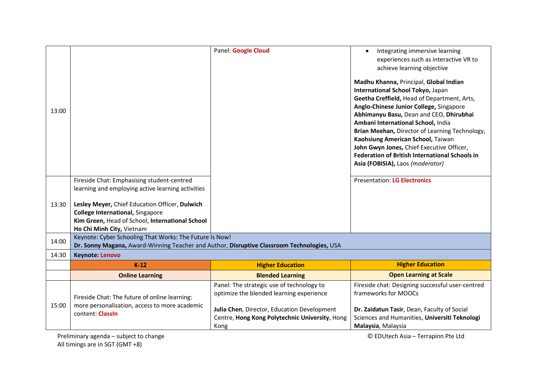| 13:00 |                                                                                                                                                                                                                                                                              | Panel: Google Cloud                                                                                   | Integrating immersive learning<br>$\bullet$<br>experiences such as interactive VR to<br>achieve learning objective<br>Madhu Khanna, Principal, Global Indian<br>International School Tokyo, Japan<br>Geetha Creffield, Head of Department, Arts,<br>Anglo-Chinese Junior College, Singapore<br>Abhimanyu Basu, Dean and CEO, Dhirubhai<br>Ambani International School, India<br>Brian Meehan, Director of Learning Technology,<br>Kaohsiung American School, Taiwan<br>John Gwyn Jones, Chief Executive Officer,<br><b>Federation of British International Schools in</b><br>Asia (FOBISIA), Laos (moderator) |
|-------|------------------------------------------------------------------------------------------------------------------------------------------------------------------------------------------------------------------------------------------------------------------------------|-------------------------------------------------------------------------------------------------------|---------------------------------------------------------------------------------------------------------------------------------------------------------------------------------------------------------------------------------------------------------------------------------------------------------------------------------------------------------------------------------------------------------------------------------------------------------------------------------------------------------------------------------------------------------------------------------------------------------------|
| 13:30 | Fireside Chat: Emphasising student-centred<br>learning and employing active learning activities<br>Lesley Meyer, Chief Education Officer, Dulwich<br><b>College International, Singapore</b><br>Kim Green, Head of School, International School<br>Ho Chi Minh City, Vietnam |                                                                                                       | <b>Presentation: LG Electronics</b>                                                                                                                                                                                                                                                                                                                                                                                                                                                                                                                                                                           |
| 14:00 | Keynote: Cyber Schooling That Works: The Future Is Now!<br>Dr. Sonny Magana, Award-Winning Teacher and Author, Disruptive Classroom Technologies, USA                                                                                                                        |                                                                                                       |                                                                                                                                                                                                                                                                                                                                                                                                                                                                                                                                                                                                               |
| 14:30 | <b>Keynote: Lenovo</b>                                                                                                                                                                                                                                                       |                                                                                                       |                                                                                                                                                                                                                                                                                                                                                                                                                                                                                                                                                                                                               |
|       | $K-12$                                                                                                                                                                                                                                                                       | <b>Higher Education</b>                                                                               | <b>Higher Education</b>                                                                                                                                                                                                                                                                                                                                                                                                                                                                                                                                                                                       |
|       | <b>Online Learning</b>                                                                                                                                                                                                                                                       | <b>Blended Learning</b>                                                                               | <b>Open Learning at Scale</b>                                                                                                                                                                                                                                                                                                                                                                                                                                                                                                                                                                                 |
| 15:00 | Fireside Chat: The future of online learning:<br>more personalisation, access to more academic                                                                                                                                                                               | Panel: The strategic use of technology to<br>optimize the blended learning experience                 | Fireside chat: Designing successful user-centred<br>frameworks for MOOCs                                                                                                                                                                                                                                                                                                                                                                                                                                                                                                                                      |
|       | content: Classin                                                                                                                                                                                                                                                             | Julia Chen, Director, Education Development<br>Centre, Hong Kong Polytechnic University, Hong<br>Kong | Dr. Zaidatun Tasir, Dean, Faculty of Social<br>Sciences and Humanities, Universiti Teknologi<br>Malaysia, Malaysia                                                                                                                                                                                                                                                                                                                                                                                                                                                                                            |

Preliminary agenda – subject to change **EXEC ENGLS** CHANGE CONTROLLER CHANGE CONTROLLER CHANGE CONTROLLER CHANGE CONTROLLER CHANGE CONTROLLER CHANGE CONTROLLER CHANGE CONTROLLER CHANGE CONTROLLER CHANGE CONTROLLER CHANGE C All timings are in SGT (GMT +8)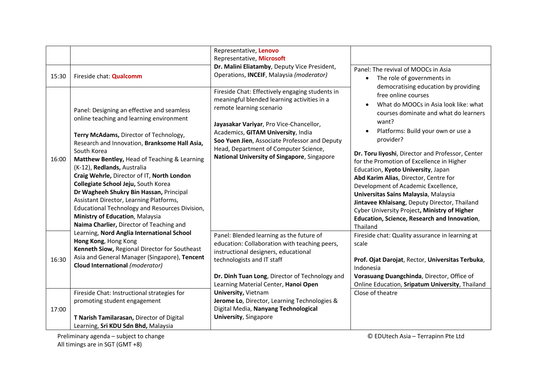| 15:30 | Fireside chat: Qualcomm                                                                                                                                                                                                                                                                                                                                                                                                                                                                                                                                                                     | Representative, Lenovo<br>Representative, Microsoft<br>Dr. Malini Eliatamby, Deputy Vice President,<br>Operations, INCEIF, Malaysia (moderator)<br>Fireside Chat: Effectively engaging students in                                                                                                                                                                                                                                                                                                                                                                                                                                                                                                            | Panel: The revival of MOOCs in Asia<br>The role of governments in<br>democratising education by providing                                                                                                                                                                                                                                                                                                                                                                                                                                                                                      |
|-------|---------------------------------------------------------------------------------------------------------------------------------------------------------------------------------------------------------------------------------------------------------------------------------------------------------------------------------------------------------------------------------------------------------------------------------------------------------------------------------------------------------------------------------------------------------------------------------------------|---------------------------------------------------------------------------------------------------------------------------------------------------------------------------------------------------------------------------------------------------------------------------------------------------------------------------------------------------------------------------------------------------------------------------------------------------------------------------------------------------------------------------------------------------------------------------------------------------------------------------------------------------------------------------------------------------------------|------------------------------------------------------------------------------------------------------------------------------------------------------------------------------------------------------------------------------------------------------------------------------------------------------------------------------------------------------------------------------------------------------------------------------------------------------------------------------------------------------------------------------------------------------------------------------------------------|
| 16:00 | Panel: Designing an effective and seamless<br>online teaching and learning environment<br>Terry McAdams, Director of Technology,<br>Research and Innovation, Branksome Hall Asia,<br>South Korea<br>Matthew Bentley, Head of Teaching & Learning<br>(K-12), Redlands, Australia<br>Craig Wehrle, Director of IT, North London<br>Collegiate School Jeju, South Korea<br>Dr Wagheeh Shukry Bin Hassan, Principal<br>Assistant Director, Learning Platforms,<br>Educational Technology and Resources Division,<br>Ministry of Education, Malaysia<br>Naima Charlier, Director of Teaching and | meaningful blended learning activities in a<br>remote learning scenario<br>Jayasakar Variyar, Pro Vice-Chancellor,<br>Academics, GITAM University, India<br>Soo Yuen Jien, Associate Professor and Deputy<br>Head, Department of Computer Science,<br>National University of Singapore, Singapore<br>Panel: Blended learning as the future of<br>education: Collaboration with teaching peers,<br>instructional designers, educational<br>technologists and IT staff<br>Dr. Dinh Tuan Long, Director of Technology and<br>Learning Material Center, Hanoi Open<br>University, Vietnam<br>Jerome Lo, Director, Learning Technologies &<br>Digital Media, Nanyang Technological<br><b>University, Singapore</b> | free online courses<br>What do MOOCs in Asia look like: what<br>$\bullet$<br>courses dominate and what do learners<br>want?<br>Platforms: Build your own or use a<br>provider?<br>Dr. Toru liyoshi, Director and Professor, Center<br>for the Promotion of Excellence in Higher<br>Education, Kyoto University, Japan<br>Abd Karim Alias, Director, Centre for<br>Development of Academic Excellence,<br>Universitas Sains Malaysia, Malaysia<br>Jintavee Khlaisang, Deputy Director, Thailand<br>Cyber University Project, Ministry of Higher<br>Education, Science, Research and Innovation, |
| 16:30 | Learning, Nord Anglia International School<br>Hong Kong, Hong Kong<br>Kenneth Siow, Regional Director for Southeast<br>Asia and General Manager (Singapore), Tencent<br>Cloud International (moderator)                                                                                                                                                                                                                                                                                                                                                                                     |                                                                                                                                                                                                                                                                                                                                                                                                                                                                                                                                                                                                                                                                                                               | Fireside chat: Quality assurance in learning at<br>scale<br>Prof. Ojat Darojat, Rector, Universitas Terbuka,<br>Indonesia<br>Vorasuang Duangchinda, Director, Office of<br>Online Education, Sripatum University, Thailand                                                                                                                                                                                                                                                                                                                                                                     |
| 17:00 | Fireside Chat: Instructional strategies for<br>promoting student engagement<br>T Narish Tamilarasan, Director of Digital<br>Learning, Sri KDU Sdn Bhd, Malaysia                                                                                                                                                                                                                                                                                                                                                                                                                             |                                                                                                                                                                                                                                                                                                                                                                                                                                                                                                                                                                                                                                                                                                               | Close of theatre                                                                                                                                                                                                                                                                                                                                                                                                                                                                                                                                                                               |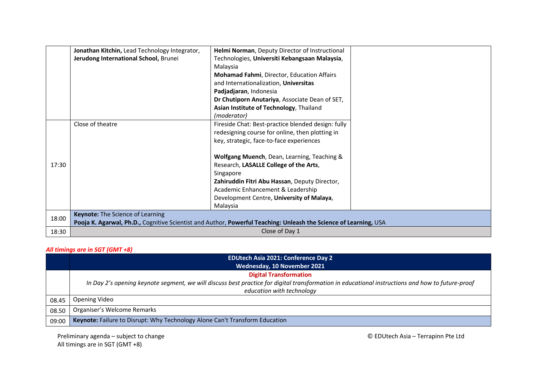|       | Jonathan Kitchin, Lead Technology Integrator, | Helmi Norman, Deputy Director of Instructional                                                                   |  |
|-------|-----------------------------------------------|------------------------------------------------------------------------------------------------------------------|--|
|       |                                               |                                                                                                                  |  |
|       | Jerudong International School, Brunei         | Technologies, Universiti Kebangsaan Malaysia,                                                                    |  |
|       |                                               | Malaysia                                                                                                         |  |
|       |                                               | <b>Mohamad Fahmi, Director, Education Affairs</b>                                                                |  |
|       |                                               | and Internationalization, Universitas                                                                            |  |
|       |                                               | Padjadjaran, Indonesia                                                                                           |  |
|       |                                               | Dr Chutiporn Anutariya, Associate Dean of SET,                                                                   |  |
|       |                                               | Asian Institute of Technology, Thailand                                                                          |  |
|       |                                               | (moderator)                                                                                                      |  |
|       | Close of theatre                              | Fireside Chat: Best-practice blended design: fully                                                               |  |
|       |                                               | redesigning course for online, then plotting in                                                                  |  |
|       |                                               | key, strategic, face-to-face experiences                                                                         |  |
|       |                                               |                                                                                                                  |  |
|       |                                               | Wolfgang Muench, Dean, Learning, Teaching &                                                                      |  |
| 17:30 |                                               | Research, LASALLE College of the Arts,                                                                           |  |
|       |                                               | Singapore                                                                                                        |  |
|       |                                               | Zahiruddin Fitri Abu Hassan, Deputy Director,                                                                    |  |
|       |                                               |                                                                                                                  |  |
|       |                                               | Academic Enhancement & Leadership                                                                                |  |
|       |                                               | Development Centre, University of Malaya,                                                                        |  |
|       |                                               | Malaysia                                                                                                         |  |
| 18:00 | <b>Keynote:</b> The Science of Learning       |                                                                                                                  |  |
|       |                                               | Pooja K. Agarwal, Ph.D., Cognitive Scientist and Author, Powerful Teaching: Unleash the Science of Learning, USA |  |
| 18:30 |                                               | Close of Day 1                                                                                                   |  |

## *All timings are in SGT (GMT +8)*

|       | <b>EDUtech Asia 2021: Conference Day 2</b>                                                                                                       |  |
|-------|--------------------------------------------------------------------------------------------------------------------------------------------------|--|
|       | Wednesday, 10 November 2021                                                                                                                      |  |
|       | <b>Digital Transformation</b>                                                                                                                    |  |
|       | In Day 2's opening keynote segment, we will discuss best practice for digital transformation in educational instructions and how to future-proof |  |
|       | education with technology                                                                                                                        |  |
| 08.45 | Opening Video                                                                                                                                    |  |
| 08.50 | Organiser's Welcome Remarks                                                                                                                      |  |
| 09:00 | Keynote: Failure to Disrupt: Why Technology Alone Can't Transform Education                                                                      |  |

Preliminary agenda – subject to change **EXEC ENGLES** CHANGE CONTROLLER CHANGE CONTROLLER CHANGE CONTROLLER CHANGE All timings are in SGT (GMT +8)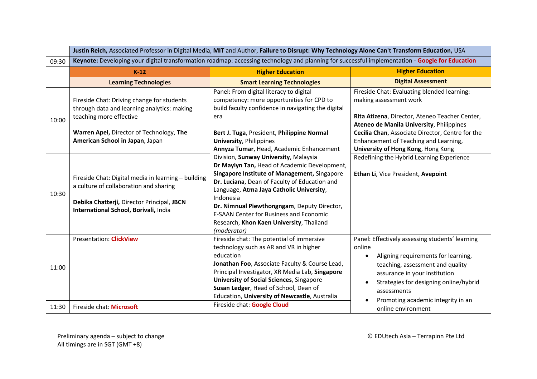|       | Justin Reich, Associated Professor in Digital Media, MIT and Author, Failure to Disrupt: Why Technology Alone Can't Transform Education, USA                                                        |                                                                                                                                                                                                                                                                                                                                                                                                             |                                                                                                                                                                                                                                                                                                               |
|-------|-----------------------------------------------------------------------------------------------------------------------------------------------------------------------------------------------------|-------------------------------------------------------------------------------------------------------------------------------------------------------------------------------------------------------------------------------------------------------------------------------------------------------------------------------------------------------------------------------------------------------------|---------------------------------------------------------------------------------------------------------------------------------------------------------------------------------------------------------------------------------------------------------------------------------------------------------------|
| 09:30 | Keynote: Developing your digital transformation roadmap: accessing technology and planning for successful implementation - Google for Education                                                     |                                                                                                                                                                                                                                                                                                                                                                                                             |                                                                                                                                                                                                                                                                                                               |
|       | $K-12$                                                                                                                                                                                              | <b>Higher Education</b>                                                                                                                                                                                                                                                                                                                                                                                     | <b>Higher Education</b>                                                                                                                                                                                                                                                                                       |
|       | <b>Learning Technologies</b>                                                                                                                                                                        | <b>Smart Learning Technologies</b>                                                                                                                                                                                                                                                                                                                                                                          | <b>Digital Assessment</b>                                                                                                                                                                                                                                                                                     |
| 10:00 | Fireside Chat: Driving change for students<br>through data and learning analytics: making<br>teaching more effective<br>Warren Apel, Director of Technology, The<br>American School in Japan, Japan | Panel: From digital literacy to digital<br>competency: more opportunities for CPD to<br>build faculty confidence in navigating the digital<br>era<br>Bert J. Tuga, President, Philippine Normal<br><b>University, Philippines</b><br>Annyza Tumar, Head, Academic Enhancement                                                                                                                               | Fireside Chat: Evaluating blended learning:<br>making assessment work<br>Rita Atizena, Director, Ateneo Teacher Center,<br><b>Ateneo de Manila University, Philippines</b><br>Cecilia Chan, Associate Director, Centre for the<br>Enhancement of Teaching and Learning,<br>University of Hong Kong, Hong Kong |
| 10:30 | Fireside Chat: Digital media in learning - building<br>a culture of collaboration and sharing<br>Debika Chatterji, Director Principal, JBCN<br>International School, Borivali, India                | Division, Sunway University, Malaysia<br>Dr Maylyn Tan, Head of Academic Development,<br>Singapore Institute of Management, Singapore<br>Dr. Luciana, Dean of Faculty of Education and<br>Language, Atma Jaya Catholic University,<br>Indonesia<br>Dr. Nimnual Piewthongngam, Deputy Director,<br><b>E-SAAN Center for Business and Economic</b><br>Research, Khon Kaen University, Thailand<br>(moderator) | Redefining the Hybrid Learning Experience<br>Ethan Li, Vice President, Avepoint                                                                                                                                                                                                                               |
| 11:00 | <b>Presentation: ClickView</b>                                                                                                                                                                      | Fireside chat: The potential of immersive<br>technology such as AR and VR in higher<br>education<br>Jonathan Foo, Associate Faculty & Course Lead,<br>Principal Investigator, XR Media Lab, Singapore<br><b>University of Social Sciences</b> , Singapore<br>Susan Ledger, Head of School, Dean of<br>Education, University of Newcastle, Australia                                                         | Panel: Effectively assessing students' learning<br>online<br>Aligning requirements for learning,<br>teaching, assessment and quality<br>assurance in your institution<br>Strategies for designing online/hybrid<br>assessments<br>Promoting academic integrity in an                                          |
| 11:30 | Fireside chat: Microsoft                                                                                                                                                                            | Fireside chat: Google Cloud                                                                                                                                                                                                                                                                                                                                                                                 | online environment                                                                                                                                                                                                                                                                                            |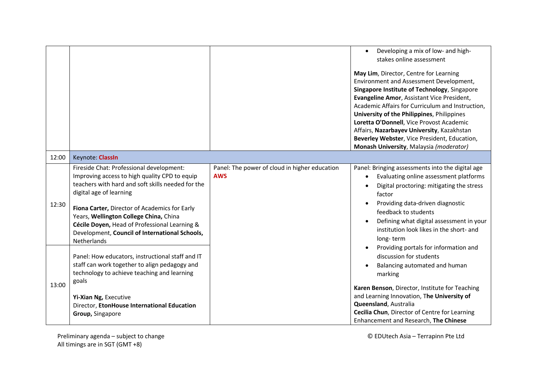|       |                                                                                                                                                                                                                                                                                                                                                                                        |                                                             | Developing a mix of low- and high-<br>$\bullet$                                                                                                                                                                                                                                                                                                                                                                                                                        |
|-------|----------------------------------------------------------------------------------------------------------------------------------------------------------------------------------------------------------------------------------------------------------------------------------------------------------------------------------------------------------------------------------------|-------------------------------------------------------------|------------------------------------------------------------------------------------------------------------------------------------------------------------------------------------------------------------------------------------------------------------------------------------------------------------------------------------------------------------------------------------------------------------------------------------------------------------------------|
|       |                                                                                                                                                                                                                                                                                                                                                                                        |                                                             | stakes online assessment                                                                                                                                                                                                                                                                                                                                                                                                                                               |
|       |                                                                                                                                                                                                                                                                                                                                                                                        |                                                             | May Lim, Director, Centre for Learning<br>Environment and Assessment Development,<br>Singapore Institute of Technology, Singapore<br>Evangeline Amor, Assistant Vice President,<br>Academic Affairs for Curriculum and Instruction,<br>University of the Philippines, Philippines<br>Loretta O'Donnell, Vice Provost Academic<br>Affairs, Nazarbayev University, Kazakhstan<br>Beverley Webster, Vice President, Education,<br>Monash University, Malaysia (moderator) |
| 12:00 | Keynote: Classin                                                                                                                                                                                                                                                                                                                                                                       |                                                             |                                                                                                                                                                                                                                                                                                                                                                                                                                                                        |
| 12:30 | Fireside Chat: Professional development:<br>Improving access to high quality CPD to equip<br>teachers with hard and soft skills needed for the<br>digital age of learning<br>Fiona Carter, Director of Academics for Early<br>Years, Wellington College China, China<br>Cécile Doyen, Head of Professional Learning &<br>Development, Council of International Schools,<br>Netherlands | Panel: The power of cloud in higher education<br><b>AWS</b> | Panel: Bringing assessments into the digital age<br>Evaluating online assessment platforms<br>Digital proctoring: mitigating the stress<br>factor<br>Providing data-driven diagnostic<br>feedback to students<br>Defining what digital assessment in your<br>institution look likes in the short- and<br>long-term                                                                                                                                                     |
| 13:00 | Panel: How educators, instructional staff and IT<br>staff can work together to align pedagogy and<br>technology to achieve teaching and learning<br>goals                                                                                                                                                                                                                              |                                                             | Providing portals for information and<br>discussion for students<br>Balancing automated and human<br>marking                                                                                                                                                                                                                                                                                                                                                           |
|       | Yi-Xian Ng, Executive<br>Director, EtonHouse International Education<br>Group, Singapore                                                                                                                                                                                                                                                                                               |                                                             | Karen Benson, Director, Institute for Teaching<br>and Learning Innovation, The University of<br>Queensland, Australia<br>Cecilia Chun, Director of Centre for Learning<br>Enhancement and Research, The Chinese                                                                                                                                                                                                                                                        |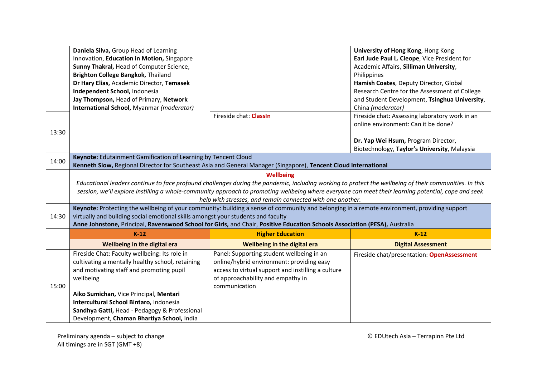|       | Daniela Silva, Group Head of Learning                                            |                                                                                                                                                        | University of Hong Kong, Hong Kong             |
|-------|----------------------------------------------------------------------------------|--------------------------------------------------------------------------------------------------------------------------------------------------------|------------------------------------------------|
|       | Innovation, Education in Motion, Singapore                                       |                                                                                                                                                        | Earl Jude Paul L. Cleope, Vice President for   |
|       | Sunny Thakral, Head of Computer Science,                                         |                                                                                                                                                        | Academic Affairs, Silliman University,         |
|       | Brighton College Bangkok, Thailand                                               |                                                                                                                                                        | Philippines                                    |
|       | Dr Hary Elias, Academic Director, Temasek                                        |                                                                                                                                                        | Hamish Coates, Deputy Director, Global         |
|       | Independent School, Indonesia                                                    |                                                                                                                                                        | Research Centre for the Assessment of College  |
|       | Jay Thompson, Head of Primary, Network                                           |                                                                                                                                                        | and Student Development, Tsinghua University,  |
|       | International School, Myanmar (moderator)                                        |                                                                                                                                                        | China (moderator)                              |
|       |                                                                                  | Fireside chat: ClassIn                                                                                                                                 | Fireside chat: Assessing laboratory work in an |
|       |                                                                                  |                                                                                                                                                        | online environment: Can it be done?            |
| 13:30 |                                                                                  |                                                                                                                                                        |                                                |
|       |                                                                                  |                                                                                                                                                        | Dr. Yap Wei Hsum, Program Director,            |
|       |                                                                                  |                                                                                                                                                        | Biotechnology, Taylor's University, Malaysia   |
| 14:00 | Keynote: Edutainment Gamification of Learning by Tencent Cloud                   |                                                                                                                                                        |                                                |
|       |                                                                                  | Kenneth Siow, Regional Director for Southeast Asia and General Manager (Singapore), Tencent Cloud International                                        |                                                |
|       |                                                                                  | <b>Wellbeing</b>                                                                                                                                       |                                                |
|       |                                                                                  | Educational leaders continue to face profound challenges during the pandemic, including working to protect the wellbeing of their communities. In this |                                                |
|       |                                                                                  | session, we'll explore instilling a whole-community approach to promoting wellbeing where everyone can meet their learning potential, cope and seek    |                                                |
|       |                                                                                  | help with stresses, and remain connected with one another.                                                                                             |                                                |
|       |                                                                                  | Keynote: Protecting the wellbeing of your community: building a sense of community and belonging in a remote environment, providing support            |                                                |
| 14:30 | virtually and building social emotional skills amongst your students and faculty |                                                                                                                                                        |                                                |
|       |                                                                                  | Anne Johnstone, Principal, Ravenswood School for Girls, and Chair, Positive Education Schools Association (PESA), Australia                            |                                                |
|       | $K-12$                                                                           | <b>Higher Education</b>                                                                                                                                | $K-12$                                         |
|       | Wellbeing in the digital era                                                     | Wellbeing in the digital era                                                                                                                           | <b>Digital Assessment</b>                      |
|       | Fireside Chat: Faculty wellbeing: Its role in                                    | Panel: Supporting student wellbeing in an                                                                                                              | Fireside chat/presentation: OpenAssessment     |
|       | cultivating a mentally healthy school, retaining                                 | online/hybrid environment: providing easy                                                                                                              |                                                |
|       | and motivating staff and promoting pupil                                         | access to virtual support and instilling a culture                                                                                                     |                                                |
|       | wellbeing                                                                        | of approachability and empathy in                                                                                                                      |                                                |
| 15:00 |                                                                                  | communication                                                                                                                                          |                                                |
|       | Aiko Sumichan, Vice Principal, Mentari                                           |                                                                                                                                                        |                                                |
|       | Intercultural School Bintaro, Indonesia                                          |                                                                                                                                                        |                                                |
|       | Sandhya Gatti, Head - Pedagogy & Professional                                    |                                                                                                                                                        |                                                |
|       | Development, Chaman Bhartiya School, India                                       |                                                                                                                                                        |                                                |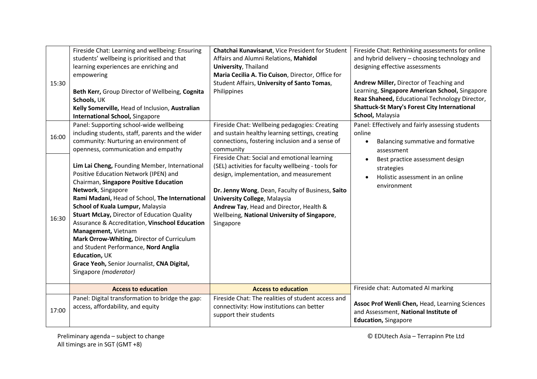| 15:30 | Fireside Chat: Learning and wellbeing: Ensuring<br>students' wellbeing is prioritised and that<br>learning experiences are enriching and<br>empowering<br>Beth Kerr, Group Director of Wellbeing, Cognita<br>Schools, UK<br>Kelly Somerville, Head of Inclusion, Australian<br><b>International School, Singapore</b>                                                                                                                                                                                                                               | Chatchai Kunavisarut, Vice President for Student<br>Affairs and Alumni Relations, Mahidol<br>University, Thailand<br>Maria Cecilia A. Tio Cuison, Director, Office for<br>Student Affairs, University of Santo Tomas,<br>Philippines                                                                                                             | Fireside Chat: Rethinking assessments for online<br>and hybrid delivery - choosing technology and<br>designing effective assessments<br>Andrew Miller, Director of Teaching and<br>Learning, Singapore American School, Singapore<br>Reaz Shaheed, Educational Technology Director,<br><b>Shattuck-St Mary's Forest City International</b><br>School, Malaysia |
|-------|-----------------------------------------------------------------------------------------------------------------------------------------------------------------------------------------------------------------------------------------------------------------------------------------------------------------------------------------------------------------------------------------------------------------------------------------------------------------------------------------------------------------------------------------------------|--------------------------------------------------------------------------------------------------------------------------------------------------------------------------------------------------------------------------------------------------------------------------------------------------------------------------------------------------|----------------------------------------------------------------------------------------------------------------------------------------------------------------------------------------------------------------------------------------------------------------------------------------------------------------------------------------------------------------|
| 16:00 | Panel: Supporting school-wide wellbeing<br>including students, staff, parents and the wider<br>community: Nurturing an environment of<br>openness, communication and empathy                                                                                                                                                                                                                                                                                                                                                                        | Fireside Chat: Wellbeing pedagogies: Creating<br>and sustain healthy learning settings, creating<br>connections, fostering inclusion and a sense of<br>community                                                                                                                                                                                 | Panel: Effectively and fairly assessing students<br>online<br>Balancing summative and formative<br>$\bullet$<br>assessment                                                                                                                                                                                                                                     |
| 16:30 | Lim Lai Cheng, Founding Member, International<br>Positive Education Network (IPEN) and<br>Chairman, Singapore Positive Education<br>Network, Singapore<br>Rami Madani, Head of School, The International<br>School of Kuala Lumpur, Malaysia<br>Stuart McLay, Director of Education Quality<br>Assurance & Accreditation, Vinschool Education<br>Management, Vietnam<br>Mark Orrow-Whiting, Director of Curriculum<br>and Student Performance, Nord Anglia<br>Education, UK<br>Grace Yeoh, Senior Journalist, CNA Digital,<br>Singapore (moderator) | Fireside Chat: Social and emotional learning<br>(SEL) activities for faculty wellbeing - tools for<br>design, implementation, and measurement<br>Dr. Jenny Wong, Dean, Faculty of Business, Saito<br><b>University College, Malaysia</b><br>Andrew Tay, Head and Director, Health &<br>Wellbeing, National University of Singapore,<br>Singapore | Best practice assessment design<br>strategies<br>Holistic assessment in an online<br>environment                                                                                                                                                                                                                                                               |
|       | <b>Access to education</b>                                                                                                                                                                                                                                                                                                                                                                                                                                                                                                                          | <b>Access to education</b>                                                                                                                                                                                                                                                                                                                       | Fireside chat: Automated AI marking                                                                                                                                                                                                                                                                                                                            |
| 17:00 | Panel: Digital transformation to bridge the gap:<br>access, affordability, and equity                                                                                                                                                                                                                                                                                                                                                                                                                                                               | Fireside Chat: The realities of student access and<br>connectivity: How institutions can better<br>support their students                                                                                                                                                                                                                        | Assoc Prof Wenli Chen, Head, Learning Sciences<br>and Assessment, National Institute of<br><b>Education, Singapore</b>                                                                                                                                                                                                                                         |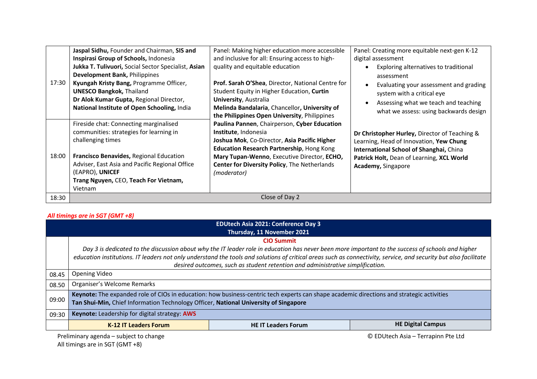| 17:30 | Jaspal Sidhu, Founder and Chairman, SIS and<br>Inspirasi Group of Schools, Indonesia<br>Jukka T. Tulivuori, Social Sector Specialist, Asian<br>Development Bank, Philippines<br>Kyungah Kristy Bang, Programme Officer,<br><b>UNESCO Bangkok, Thailand</b><br>Dr Alok Kumar Gupta, Regional Director,<br>National Institute of Open Schooling, India | Panel: Making higher education more accessible<br>and inclusive for all: Ensuring access to high-<br>quality and equitable education<br>Prof. Sarah O'Shea, Director, National Centre for<br>Student Equity in Higher Education, Curtin<br>University, Australia<br>Melinda Bandalaria, Chancellor, University of                      | Panel: Creating more equitable next-gen K-12<br>digital assessment<br>Exploring alternatives to traditional<br>assessment<br>Evaluating your assessment and grading<br>system with a critical eye<br>Assessing what we teach and teaching        |
|-------|------------------------------------------------------------------------------------------------------------------------------------------------------------------------------------------------------------------------------------------------------------------------------------------------------------------------------------------------------|----------------------------------------------------------------------------------------------------------------------------------------------------------------------------------------------------------------------------------------------------------------------------------------------------------------------------------------|--------------------------------------------------------------------------------------------------------------------------------------------------------------------------------------------------------------------------------------------------|
| 18:00 | Fireside chat: Connecting marginalised<br>communities: strategies for learning in<br>challenging times<br>Francisco Benavides, Regional Education<br>Adviser, East Asia and Pacific Regional Office<br>(EAPRO), UNICEF<br>Trang Nguyen, CEO, Teach For Vietnam,<br>Vietnam                                                                           | the Philippines Open University, Philippines<br>Paulina Pannen, Chairperson, Cyber Education<br>Institute, Indonesia<br>Joshua Mok, Co-Director, Asia Pacific Higher<br><b>Education Research Partnership, Hong Kong</b><br>Mary Tupan-Wenno, Executive Director, ECHO,<br>Center for Diversity Policy, The Netherlands<br>(moderator) | what we assess: using backwards design<br>Dr Christopher Hurley, Director of Teaching &<br>Learning, Head of Innovation, Yew Chung<br>International School of Shanghai, China<br>Patrick Holt, Dean of Learning, XCL World<br>Academy, Singapore |
| 18:30 |                                                                                                                                                                                                                                                                                                                                                      | Close of Day 2                                                                                                                                                                                                                                                                                                                         |                                                                                                                                                                                                                                                  |

## *All timings are in SGT (GMT +8)*

|       | <b>EDUtech Asia 2021: Conference Day 3</b>                                                                                                |                                                                                                                                                                  |                          |
|-------|-------------------------------------------------------------------------------------------------------------------------------------------|------------------------------------------------------------------------------------------------------------------------------------------------------------------|--------------------------|
|       |                                                                                                                                           | Thursday, 11 November 2021                                                                                                                                       |                          |
|       |                                                                                                                                           | <b>CIO Summit</b>                                                                                                                                                |                          |
|       |                                                                                                                                           | Day 3 is dedicated to the discussion about why the IT leader role in education has never been more important to the success of schools and higher                |                          |
|       |                                                                                                                                           | education institutions. IT leaders not only understand the tools and solutions of critical areas such as connectivity, service, and security but also facilitate |                          |
|       |                                                                                                                                           | desired outcomes, such as student retention and administrative simplification.                                                                                   |                          |
| 08.45 | Opening Video                                                                                                                             |                                                                                                                                                                  |                          |
| 08.50 | Organiser's Welcome Remarks                                                                                                               |                                                                                                                                                                  |                          |
|       | Keynote: The expanded role of CIOs in education: how business-centric tech experts can shape academic directions and strategic activities |                                                                                                                                                                  |                          |
| 09:00 | Tan Shui-Min, Chief Information Technology Officer, National University of Singapore                                                      |                                                                                                                                                                  |                          |
| 09:30 | Keynote: Leadership for digital strategy: AWS                                                                                             |                                                                                                                                                                  |                          |
|       | <b>K-12 IT Leaders Forum</b>                                                                                                              | <b>HE IT Leaders Forum</b>                                                                                                                                       | <b>HE Digital Campus</b> |
|       | Preliminary agenda - subject to change<br>© EDUtech Asia – Terrapinn Pte Ltd                                                              |                                                                                                                                                                  |                          |

All timings are in SGT (GMT +8)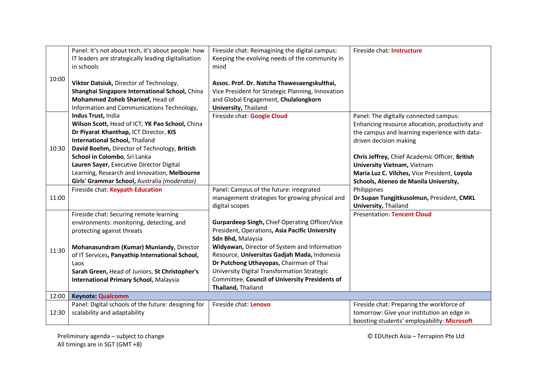|       | Panel: It's not about tech, it's about people: how                | Fireside chat: Reimagining the digital campus:                       | Fireside chat: Instructure                                               |
|-------|-------------------------------------------------------------------|----------------------------------------------------------------------|--------------------------------------------------------------------------|
|       | IT leaders are strategically leading digitalisation<br>in schools | Keeping the evolving needs of the community in<br>mind               |                                                                          |
| 10:00 |                                                                   |                                                                      |                                                                          |
|       | Viktor Datsiuk, Director of Technology,                           | Assoc. Prof. Dr. Natcha Thawesaengskulthai,                          |                                                                          |
|       | Shanghai Singapore International School, China                    | Vice President for Strategic Planning, Innovation                    |                                                                          |
|       | Mohammed Zoheb Sharieef, Head of                                  | and Global Engagement, Chulalongkorn                                 |                                                                          |
|       | Information and Communications Technology,<br>Indus Trust, India  | <b>University, Thailand</b><br>Fireside chat: Google Cloud           | Panel: The digitally connected campus:                                   |
|       | Wilson Scott, Head of ICT, YK Pao School, China                   |                                                                      | Enhancing resource allocation, productivity and                          |
|       | Dr Piyarat Khanthap, ICT Director, KIS                            |                                                                      | the campus and learning experience with data-                            |
|       | <b>International School, Thailand</b>                             |                                                                      | driven decision making                                                   |
| 10:30 | David Boehm, Director of Technology, British                      |                                                                      |                                                                          |
|       | School in Colombo, Sri Lanka                                      |                                                                      | Chris Jeffrey, Chief Academic Officer, British                           |
|       | Lauren Sayer, Executive Director Digital                          |                                                                      | <b>University Vietnam, Vietnam</b>                                       |
|       | Learning, Research and Innovation, Melbourne                      |                                                                      | Maria Luz C. Vilches, Vice President, Loyola                             |
|       | Girls' Grammar School, Australia (moderator)                      |                                                                      | Schools, Ateneo de Manila University,                                    |
|       | Fireside chat: Keypath Education                                  | Panel: Campus of the future: integrated                              | Philippines                                                              |
| 11:00 |                                                                   | management strategies for growing physical and<br>digital scopes     | Dr Supan Tungjitkusolmun, President, CMKL<br><b>University, Thailand</b> |
|       | Fireside chat: Securing remote learning                           |                                                                      | <b>Presentation: Tencent Cloud</b>                                       |
|       | environments: monitoring, detecting, and                          | Gurpardeep Singh, Chief Operating Officer/Vice                       |                                                                          |
|       | protecting against threats                                        | President, Operations, Asia Pacific University                       |                                                                          |
|       |                                                                   | Sdn Bhd, Malaysia                                                    |                                                                          |
| 11:30 | Mohanasundram (Kumar) Muniandy, Director                          | Widyawan, Director of System and Information                         |                                                                          |
|       | of IT Services, Panyathip International School,                   | Resource, Universitas Gadjah Mada, Indonesia                         |                                                                          |
|       | Laos                                                              | Dr Putchong Uthayopas, Chairman of Thai                              |                                                                          |
|       | Sarah Green, Head of Juniors, St Christopher's                    | University Digital Transformation Strategic                          |                                                                          |
|       | <b>International Primary School, Malaysia</b>                     | Committee, Council of University Presidents of<br>Thailand, Thailand |                                                                          |
| 12:00 | <b>Keynote: Qualcomm</b>                                          |                                                                      |                                                                          |
|       | Panel: Digital schools of the future: designing for               | Fireside chat: Lenovo                                                | Fireside chat: Preparing the workforce of                                |
| 12:30 | scalability and adaptability                                      |                                                                      | tomorrow: Give your institution an edge in                               |
|       |                                                                   |                                                                      | boosting students' employability: Microsoft                              |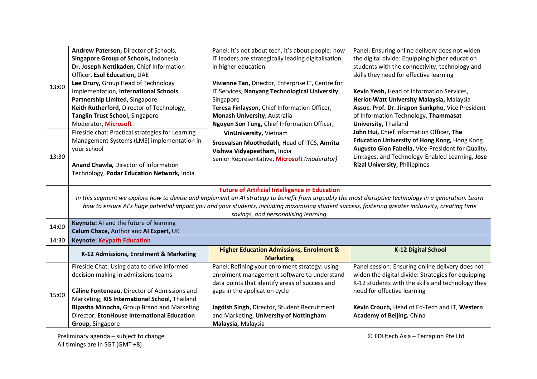|       | Andrew Paterson, Director of Schools,                                                                                                                | Panel: It's not about tech, it's about people: how  | Panel: Ensuring online delivery does not widen     |  |  |  |
|-------|------------------------------------------------------------------------------------------------------------------------------------------------------|-----------------------------------------------------|----------------------------------------------------|--|--|--|
| 13:00 | Singapore Group of Schools, Indonesia                                                                                                                | IT leaders are strategically leading digitalisation | the digital divide: Equipping higher education     |  |  |  |
|       | Dr. Joseph Nettikaden, Chief Information                                                                                                             | in higher education                                 | students with the connectivity, technology and     |  |  |  |
|       | Officer, Esol Education, UAE                                                                                                                         |                                                     | skills they need for effective learning            |  |  |  |
|       | Lee Drury, Group Head of Technology                                                                                                                  | Vivienne Tan, Director, Enterprise IT, Centre for   |                                                    |  |  |  |
|       | Implementation, International Schools                                                                                                                | IT Services, Nanyang Technological University,      | Kevin Yeoh, Head of Information Services,          |  |  |  |
|       | Partnership Limited, Singapore                                                                                                                       | Singapore                                           | Heriot-Watt University Malaysia, Malaysia          |  |  |  |
|       | Keith Rutherford, Director of Technology,                                                                                                            | Teresa Finlayson, Chief Information Officer,        | Assoc. Prof. Dr. Jirapon Sunkpho, Vice President   |  |  |  |
|       | Tanglin Trust School, Singapore                                                                                                                      | Monash University, Australia                        | of Information Technology, Thammasat               |  |  |  |
|       | Moderator, Microsoft                                                                                                                                 | Nguyen Son Tung, Chief Information Officer,         | <b>University, Thailand</b>                        |  |  |  |
|       | Fireside chat: Practical strategies for Learning                                                                                                     | VinUniversity, Vietnam                              | John Hui, Chief Information Officer, The           |  |  |  |
|       | Management Systems (LMS) implementation in                                                                                                           | Sreevalsan Moothedath, Head of ITCS, Amrita         | Education University of Hong Kong, Hong Kong       |  |  |  |
|       | your school                                                                                                                                          | Vishwa Vidyapeetham, India                          | Augusto Gion Fabella, Vice-President for Quality,  |  |  |  |
| 13:30 |                                                                                                                                                      | Senior Representative, Microsoft (moderator)        | Linkages, and Technology-Enabled Learning, Jose    |  |  |  |
|       | Anand Chawla, Director of Information                                                                                                                |                                                     | <b>Rizal University, Philippines</b>               |  |  |  |
|       | Technology, Podar Education Network, India                                                                                                           |                                                     |                                                    |  |  |  |
|       |                                                                                                                                                      |                                                     |                                                    |  |  |  |
|       | <b>Future of Artificial Intelligence in Education</b>                                                                                                |                                                     |                                                    |  |  |  |
|       | In this segment we explore how to devise and implement an AI strategy to benefit from arguably the most disruptive technology in a generation. Learn |                                                     |                                                    |  |  |  |
|       | how to ensure AI's huge potential impact you and your students, including maximising student success, fostering greater inclusivity, creating time   |                                                     |                                                    |  |  |  |
|       | savings, and personalising learning.                                                                                                                 |                                                     |                                                    |  |  |  |
| 14:00 | Keynote: AI and the future of learning                                                                                                               |                                                     |                                                    |  |  |  |
|       | Calum Chace, Author and AI Expert, UK                                                                                                                |                                                     |                                                    |  |  |  |
| 14:30 | <b>Keynote: Keypath Education</b>                                                                                                                    |                                                     |                                                    |  |  |  |
|       | K-12 Admissions, Enrolment & Marketing                                                                                                               | <b>Higher Education Admissions, Enrolment &amp;</b> | <b>K-12 Digital School</b>                         |  |  |  |
|       |                                                                                                                                                      | <b>Marketing</b>                                    |                                                    |  |  |  |
| 15:00 | Fireside Chat: Using data to drive informed                                                                                                          | Panel: Refining your enrolment strategy: using      | Panel session: Ensuring online delivery does not   |  |  |  |
|       | decision making in admissions teams                                                                                                                  | enrolment management software to understand         | widen the digital divide: Strategies for equipping |  |  |  |
|       |                                                                                                                                                      | data points that identify areas of success and      | K-12 students with the skills and technology they  |  |  |  |
|       | Câline Fonteneau, Director of Admissions and                                                                                                         | gaps in the application cycle                       | need for effective learning                        |  |  |  |
|       | Marketing, KIS International School, Thailand                                                                                                        |                                                     |                                                    |  |  |  |
|       | Bipasha Minocha, Group Brand and Marketing                                                                                                           | Jagdish Singh, Director, Student Recruitment        | Kevin Crouch, Head of Ed-Tech and IT, Western      |  |  |  |
|       | Director, EtonHouse International Education                                                                                                          | and Marketing, University of Nottingham             | <b>Academy of Beijing. China</b>                   |  |  |  |
|       | Group, Singapore                                                                                                                                     | Malaysia, Malaysia                                  |                                                    |  |  |  |